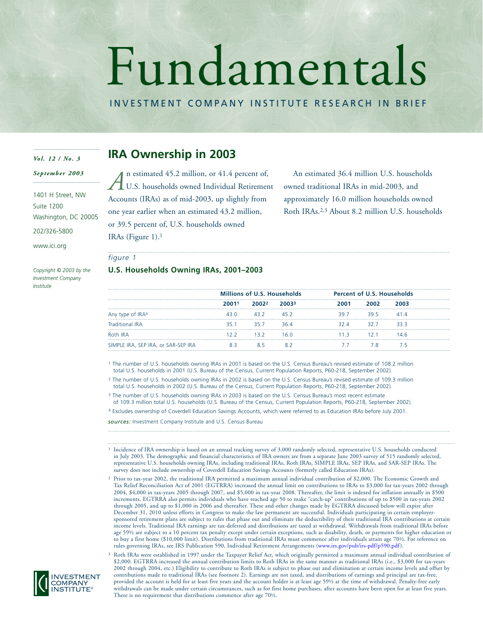# Fundamentals

INVESTMENT COMPANY INSTITUTE RESEARCH IN BRIEF

#### *Vol. 12 / No. 3*

*September 2003*

1401 H Street, NW Suite 1200 Washington, DC 20005

202/326-5800

www.ici.org

*Copyright © 2003 by the Investment Company Institute*

# **IRA Ownership in 2003**

n estimated 45.2 million, or 41.4 percent of, U.S. households owned Individual Retirement Accounts (IRAs) as of mid-2003, up slightly from one year earlier when an estimated 43.2 million, or 39.5 percent of, U.S. households owned IRAs (Figure 1).1 *A*

An estimated 36.4 million U.S. households owned traditional IRAs in mid-2003, and approximately 16.0 million households owned Roth IRAs.2,3 About 8.2 million U.S. households

#### *figure 1*

#### **U.S. Households Owning IRAs, 2001–2003**

|                                     | <b>Millions of U.S. Households</b> |       | <b>Percent of U.S. Households</b> |  |      |  |
|-------------------------------------|------------------------------------|-------|-----------------------------------|--|------|--|
|                                     | 20011                              | 20022 |                                   |  |      |  |
| Any type of IRA4                    |                                    |       |                                   |  | 39 F |  |
| Traditional IRA                     |                                    |       |                                   |  |      |  |
| Roth IRA                            |                                    |       |                                   |  |      |  |
| SIMPLE IRA, SEP IRA, or SAR-SEP IRA |                                    |       |                                   |  |      |  |

<sup>1</sup> The number of U.S. households owning IRAs in 2001 is based on the U.S. Census Bureau's revised estimate of 108.2 million total U.S. households in 2001 (U.S. Bureau of the Census, Current Population Reports, P60-218, September 2002).

<sup>2</sup> The number of U.S. households owning IRAs in 2002 is based on the U.S. Census Bureau's revised estimate of 109.3 million total U.S. households in 2002 (U.S. Bureau of the Census, Current Population Reports, P60-218, September 2002).

<sup>3</sup> The number of U.S. households owning IRAs in 2003 is based on the U.S. Census Bureau's most recent estimate of 109.3 million total U.S. households (U.S. Bureau of the Census, Current Population Reports, P60-218, September 2002).

<sup>4</sup> Excludes ownership of Coverdell Education Savings Accounts, which were referred to as Education IRAs before July 2001.

*sources:* Investment Company Institute and U.S. Census Bureau

- <sup>1</sup> Incidence of IRA ownership is based on an annual tracking survey of 3,000 randomly selected, representative U.S. households conducted in July 2003. The demographic and financial characteristics of IRA owners are from a separate June 2003 survey of 515 randomly selected, representative U.S. households owning IRAs, including traditional IRAs, Roth IRAs, SIMPLE IRAs, SEP IRAs, and SAR-SEP IRAs. The survey does not include ownership of Coverdell Education Savings Accounts (formerly called Education IRAs).
- <sup>2</sup> Prior to tax-year 2002, the traditional IRA permitted a maximum annual individual contribution of \$2,000. The Economic Growth and Tax Relief Reconciliation Act of 2001 (EGTRRA) increased the annual limit on contributions to IRAs to \$3,000 for tax-years 2002 through 2004, \$4,000 in tax-years 2005 through 2007, and \$5,000 in tax-year 2008. Thereafter, the limit is indexed for inflation annually in \$500 increments. EGTRRA also permits individuals who have reached age 50 to make "catch-up" contributions of up to \$500 in tax-years 2002 through 2005, and up to \$1,000 in 2006 and thereafter. These and other changes made by EGTRRA discussed below will expire after December 31, 2010 unless efforts in Congress to make the law permanent are successful. Individuals participating in certain employersponsored retirement plans are subject to rules that phase out and eliminate the deductibility of their traditional IRA contributions at certain income levels. Traditional IRA earnings are tax-deferred and distributions are taxed at withdrawal. Withdrawals from traditional IRAs before age 59½ are subject to a 10 percent tax penalty except under certain exceptions, such as disability, death, or payments for higher education or to buy a first home (\$10,000 limit). Distributions from traditional IRAs must commence after individuals attain age 70½. For reference on rules governing IRAs, see IRS Publication 590, Individual Retirement Arrangement[s \(www.irs.gov/pub/irs-pdf/p590.pdf\).](http://www.irs.gov/pub/irs-pdf/p590.pdf)

<sup>3</sup> Roth IRAs were established in 1997 under the Taxpayer Relief Act, which originally permitted a maximum annual individual contribution of \$2,000. EGTRRA increased the annual contribution limits to Roth IRAs in the same manner as traditional IRAs (i.e., \$3,000 for tax-years 2002 through 2004, etc.) Eligibility to contribute to Roth IRAs is subject to phase out and elimination at certain income levels and offset by contributions made to traditional IRAs (see footnote 2). Earnings are not taxed, and distributions of earnings and principal are tax-free, provided the account is held for at least five years and the account holder is at least age 59½ at the time of withdrawal. Penalty-free early withdrawals can be made under certain circumstances, such as for first home purchases, after accounts have been open for at least five years. There is no requirement that distributions commence after age 70½.

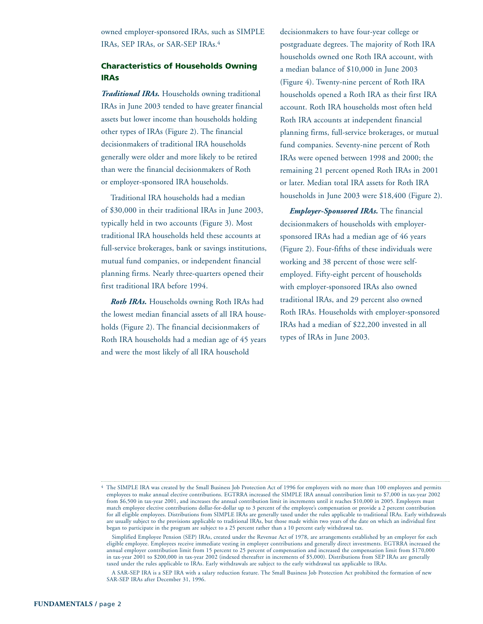owned employer-sponsored IRAs, such as SIMPLE IRAs, SEP IRAs, or SAR-SEP IRAs.4

# **Characteristics of Households Owning IRAs**

*Traditional IRAs.* Households owning traditional IRAs in June 2003 tended to have greater financial assets but lower income than households holding other types of IRAs (Figure 2). The financial decisionmakers of traditional IRA households generally were older and more likely to be retired than were the financial decisionmakers of Roth or employer-sponsored IRA households.

Traditional IRA households had a median of \$30,000 in their traditional IRAs in June 2003, typically held in two accounts (Figure 3). Most traditional IRA households held these accounts at full-service brokerages, bank or savings institutions, mutual fund companies, or independent financial planning firms. Nearly three-quarters opened their first traditional IRA before 1994.

*Roth IRAs.* Households owning Roth IRAs had the lowest median financial assets of all IRA households (Figure 2). The financial decisionmakers of Roth IRA households had a median age of 45 years and were the most likely of all IRA household

decisionmakers to have four-year college or postgraduate degrees. The majority of Roth IRA households owned one Roth IRA account, with a median balance of \$10,000 in June 2003 (Figure 4). Twenty-nine percent of Roth IRA households opened a Roth IRA as their first IRA account. Roth IRA households most often held Roth IRA accounts at independent financial planning firms, full-service brokerages, or mutual fund companies. Seventy-nine percent of Roth IRAs were opened between 1998 and 2000; the remaining 21 percent opened Roth IRAs in 2001 or later. Median total IRA assets for Roth IRA households in June 2003 were \$18,400 (Figure 2).

*Employer-Sponsored IRAs.* The financial decisionmakers of households with employersponsored IRAs had a median age of 46 years (Figure 2). Four-fifths of these individuals were working and 38 percent of those were selfemployed. Fifty-eight percent of households with employer-sponsored IRAs also owned traditional IRAs, and 29 percent also owned Roth IRAs. Households with employer-sponsored IRAs had a median of \$22,200 invested in all types of IRAs in June 2003.

<sup>4</sup> The SIMPLE IRA was created by the Small Business Job Protection Act of 1996 for employers with no more than 100 employees and permits employees to make annual elective contributions. EGTRRA increased the SIMPLE IRA annual contribution limit to \$7,000 in tax-year 2002 from \$6,500 in tax-year 2001, and increases the annual contribution limit in increments until it reaches \$10,000 in 2005. Employers must match employee elective contributions dollar-for-dollar up to 3 percent of the employee's compensation or provide a 2 percent contribution for all eligible employees. Distributions from SIMPLE IRAs are generally taxed under the rules applicable to traditional IRAs. Early withdrawals are usually subject to the provisions applicable to traditional IRAs, but those made within two years of the date on which an individual first began to participate in the program are subject to a 25 percent rather than a 10 percent early withdrawal tax.

Simplified Employee Pension (SEP) IRAs, created under the Revenue Act of 1978, are arrangements established by an employer for each eligible employee. Employees receive immediate vesting in employer contributions and generally direct investments. EGTRRA increased the annual employer contribution limit from 15 percent to 25 percent of compensation and increased the compensation limit from \$170,000 in tax-year 2001 to \$200,000 in tax-year 2002 (indexed thereafter in increments of \$5,000). Distributions from SEP IRAs are generally taxed under the rules applicable to IRAs. Early withdrawals are subject to the early withdrawal tax applicable to IRAs.

A SAR-SEP IRA is a SEP IRA with a salary reduction feature. The Small Business Job Protection Act prohibited the formation of new SAR-SEP IRAs after December 31, 1996.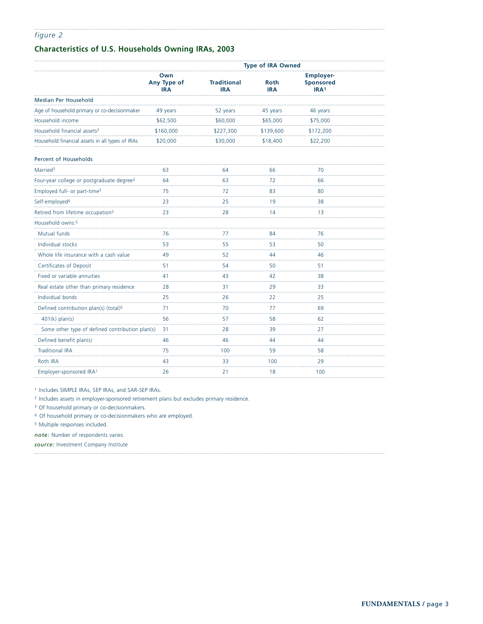# **Characteristics of U.S. Households Owning IRAs, 2003**

|                                                       | <b>Type of IRA Owned</b>         |                                  |                           |                                                          |  |  |
|-------------------------------------------------------|----------------------------------|----------------------------------|---------------------------|----------------------------------------------------------|--|--|
|                                                       | Own<br>Any Type of<br><b>IRA</b> | <b>Traditional</b><br><b>IRA</b> | <b>Roth</b><br><b>IRA</b> | <b>Employer-</b><br><b>Sponsored</b><br>IRA <sup>1</sup> |  |  |
| <b>Median Per Household</b>                           |                                  |                                  |                           |                                                          |  |  |
| Age of household primary or co-decisionmaker          | 49 years                         | 52 years                         | 45 years                  | 46 years                                                 |  |  |
| Household income                                      | \$62,500                         | \$60,000                         | \$65,000                  | \$75,000                                                 |  |  |
| Household financial assets <sup>2</sup>               | \$160,000                        | \$227,300                        | \$139,600                 | \$172,200                                                |  |  |
| Household financial assets in all types of IRAs       | \$20,000                         | \$30,000                         | \$18,400                  | \$22,200                                                 |  |  |
| Percent of Households                                 |                                  |                                  |                           |                                                          |  |  |
| Married <sup>3</sup>                                  | 63                               | 64                               | 66                        | 70                                                       |  |  |
| Four-year college or postgraduate degree <sup>3</sup> | 64                               | 63                               | 72                        | 66                                                       |  |  |
| Employed full- or part-time <sup>3</sup>              | 75                               | 72                               | 83                        | 80                                                       |  |  |
| Self-employed <sup>4</sup>                            | 23                               | 25                               | 19                        | 38                                                       |  |  |
| Retired from lifetime occupation <sup>3</sup>         | 23                               | 28                               | 14                        | 13                                                       |  |  |
| Household owns: <sup>5</sup>                          |                                  |                                  |                           |                                                          |  |  |
| Mutual funds                                          | 76                               | 77                               | 84                        | 76                                                       |  |  |
| Individual stocks                                     | 53                               | 55                               | 53                        | 50                                                       |  |  |
| Whole life insurance with a cash value                | 49                               | 52                               | 44                        | 46                                                       |  |  |
| Certificates of Deposit                               | 51                               | 54                               | 50                        | 51                                                       |  |  |
| Fixed or variable annuities                           | 41                               | 43                               | 42                        | 38                                                       |  |  |
| Real estate other than primary residence              | 28                               | 31                               | 29                        | 33                                                       |  |  |
| Individual bonds                                      | 25                               | 26                               | 22                        | 25                                                       |  |  |
| Defined contribution plan(s) (total) <sup>5</sup>     | 71                               | 70                               | 77                        | 69                                                       |  |  |
| $401(k)$ plan(s)                                      | 56                               | 57                               | 58                        | 62                                                       |  |  |
| Some other type of defined contribution plan(s)       | 31                               | 28                               | 39                        | 27                                                       |  |  |
| Defined benefit plan(s)                               | 46                               | 46                               | 44                        | .<br>44                                                  |  |  |
| <b>Traditional IRA</b>                                | 75                               | 100                              | 59                        | 58                                                       |  |  |
| Roth IRA                                              | .<br>43                          | 33                               | 100                       | 29                                                       |  |  |
| Employer-sponsored IRA <sup>1</sup>                   | 26                               | 21                               | 18                        | 100                                                      |  |  |

<sup>1</sup> Includes SIMPLE IRAs, SEP IRAs, and SAR-SEP IRAs.

<sup>2</sup> Includes assets in employer-sponsored retirement plans but excludes primary residence.

<sup>3</sup> Of household primary or co-decisionmakers.

<sup>4</sup> Of household primary or co-decisionmakers who are employed.

<sup>5</sup> Multiple responses included.

*note:* Number of respondents varies.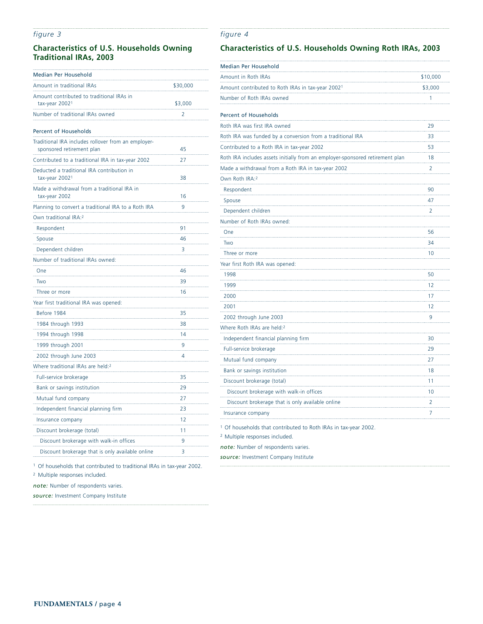## **Characteristics of U.S. Households Owning Traditional IRAs, 2003**

| Median Per Household                                                             |          |
|----------------------------------------------------------------------------------|----------|
| Amount in traditional IRAs                                                       | \$30,000 |
| Amount contributed to traditional IRAs in                                        |          |
| tax-year 2002 <sup>1</sup>                                                       | \$3,000  |
| Number of traditional IRAs owned                                                 | 2        |
| <b>Percent of Households</b>                                                     |          |
| Traditional IRA includes rollover from an employer-<br>sponsored retirement plan | 45       |
| Contributed to a traditional IRA in tax-year 2002                                | 27       |
| Deducted a traditional IRA contribution in<br>tax-year 2002 <sup>1</sup>         | 38       |
| Made a withdrawal from a traditional IRA in<br>tax-year 2002                     | 16       |
| Planning to convert a traditional IRA to a Roth IRA                              | 9        |
| Own traditional IRA: <sup>2</sup>                                                |          |
| Respondent                                                                       | 91       |
| Spouse                                                                           | 46       |
| Dependent children                                                               | 3        |
| Number of traditional IRAs owned:                                                |          |
| One                                                                              | 46       |
| Two                                                                              | 39       |
| Three or more                                                                    | 16       |
| Year first traditional IRA was opened:                                           |          |
| Before 1984                                                                      | 35       |
| 1984 through 1993                                                                | 38       |
| 1994 through 1998                                                                | 14       |
| 1999 through 2001                                                                | 9        |
| 2002 through June 2003                                                           | 4        |
| Where traditional IRAs are held: <sup>2</sup>                                    |          |
| Full-service brokerage                                                           | 35       |
| Bank or savings institution                                                      | 29       |
| Mutual fund company                                                              | 27       |
| Independent financial planning firm                                              | 23       |
| Insurance company                                                                | 12       |
| Discount brokerage (total)                                                       | 11       |
| Discount brokerage with walk-in offices                                          | 9        |
| Discount brokerage that is only available online                                 | 3        |
|                                                                                  |          |

# **Characteristics of U.S. Households Owning Roth IRAs, 2003**

*figure 4*

| Median Per Household                                                          |          |
|-------------------------------------------------------------------------------|----------|
| Amount in Roth IRAs                                                           | \$10,000 |
| Amount contributed to Roth IRAs in tax-year 2002 <sup>1</sup>                 | \$3,000  |
| Number of Roth IRAs owned                                                     | 1        |
| Percent of Households                                                         |          |
| Roth IRA was first IRA owned                                                  | 29       |
| Roth IRA was funded by a conversion from a traditional IRA                    | 33       |
| Contributed to a Roth IRA in tax-year 2002                                    | 53       |
| Roth IRA includes assets initially from an employer-sponsored retirement plan | 18       |
| Made a withdrawal from a Roth IRA in tax-year 2002                            | 2        |
| Own Roth IRA:2                                                                |          |
| Respondent                                                                    | 90       |
| Spouse                                                                        | 47       |
| Dependent children                                                            | 2        |
| Number of Roth IRAs owned:                                                    |          |
| One                                                                           | 56       |
| Two                                                                           | 34       |
| Three or more                                                                 | 10       |
| Year first Roth IRA was opened:                                               |          |
| 1998                                                                          | 50       |
| 1999                                                                          | 12       |
| 2000<br>.                                                                     | 17       |
| 2001                                                                          | 12       |
| 2002 through June 2003                                                        | 9        |
| Where Roth IRAs are held:2                                                    |          |
| Independent financial planning firm                                           | 30       |
| Full-service brokerage                                                        | 29       |
| Mutual fund company                                                           | 27       |
| Bank or savings institution                                                   | 18       |
| Discount brokerage (total)                                                    | 11       |
| Discount brokerage with walk-in offices                                       | 10       |
| Discount brokerage that is only available online                              | 2        |
| Insurance company                                                             | 7        |
| <sup>1</sup> Of households that contributed to Roth IRAs in tax-year 2002.    |          |

<sup>2</sup> Multiple responses included.

*note:* Number of respondents varies.

*source:* Investment Company Institute

<sup>1</sup> Of households that contributed to traditional IRAs in tax-year 2002.

<sup>2</sup> Multiple responses included.

 $\ddotsc$ 

*note:* Number of respondents varies.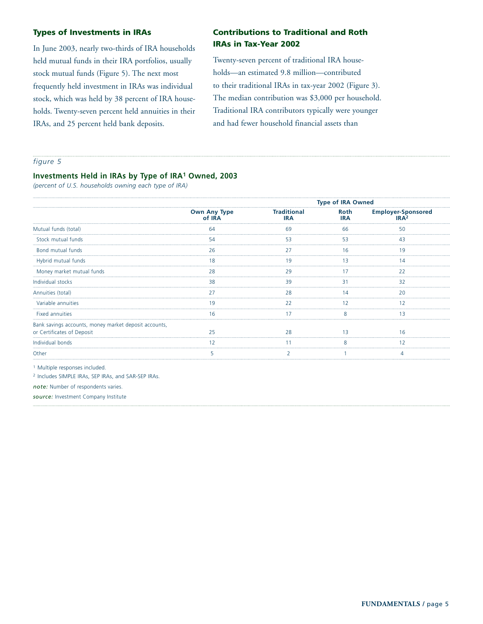### **Types of Investments in IRAs**

In June 2003, nearly two-thirds of IRA households held mutual funds in their IRA portfolios, usually stock mutual funds (Figure 5). The next most frequently held investment in IRAs was individual stock, which was held by 38 percent of IRA households. Twenty-seven percent held annuities in their IRAs, and 25 percent held bank deposits.

# **Contributions to Traditional and Roth IRAs in Tax-Year 2002**

Twenty-seven percent of traditional IRA households—an estimated 9.8 million—contributed to their traditional IRAs in tax-year 2002 (Figure 3). The median contribution was \$3,000 per household. Traditional IRA contributors typically were younger and had fewer household financial assets than

#### *figure 5*

#### **Investments Held in IRAs by Type of IRA1 Owned, 2003**

*(percent of U.S. households owning each type of IRA)*

|                                                                                     |                               |                           | <b>Type of IRA Owned</b> |                                                       |
|-------------------------------------------------------------------------------------|-------------------------------|---------------------------|--------------------------|-------------------------------------------------------|
|                                                                                     | <b>Own Any Type</b><br>of IRA | Traditional<br><b>IRA</b> | Roth<br><b>IRA</b>       | <b>Employer-Sponsored</b><br>IR $\Delta$ <sub>2</sub> |
| Mutual funds (total)                                                                | 64                            | 69                        | 66                       | 50                                                    |
| Stock mutual funds                                                                  |                               |                           |                          |                                                       |
| Bond mutual funds                                                                   | 26                            |                           | 16                       | 1 Q                                                   |
| Hybrid mutual funds                                                                 |                               |                           |                          |                                                       |
| Money market mutual funds                                                           | 28                            | 29                        |                          | 22                                                    |
| Individual stocks                                                                   | 38                            | 39                        |                          | 32                                                    |
| Annuities (total)                                                                   |                               | 28                        |                          |                                                       |
| Variable annuities                                                                  | 1 Q                           |                           | 12                       |                                                       |
| <b>Fixed annuities</b>                                                              |                               |                           |                          |                                                       |
| Bank savings accounts, money market deposit accounts,<br>or Certificates of Deposit |                               |                           |                          |                                                       |
| Individual bonds                                                                    |                               |                           |                          |                                                       |
| Other                                                                               |                               |                           |                          |                                                       |

<sup>1</sup> Multiple responses included.

<sup>2</sup> Includes SIMPLE IRAs, SEP IRAs, and SAR-SEP IRAs.

*note:* Number of respondents varies.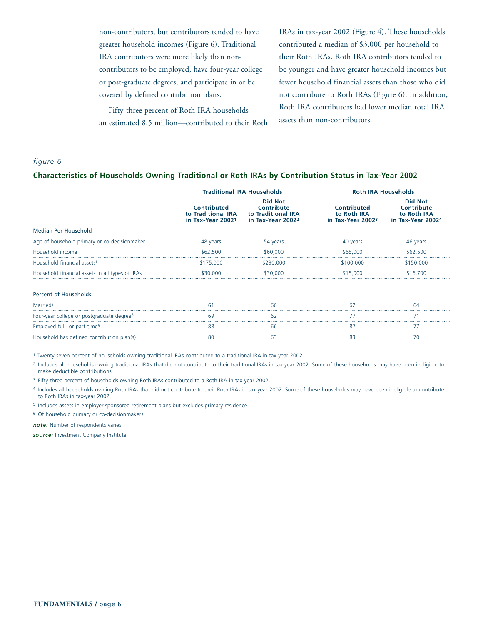non-contributors, but contributors tended to have greater household incomes (Figure 6). Traditional IRA contributors were more likely than noncontributors to be employed, have four-year college or post-graduate degrees, and participate in or be covered by defined contribution plans.

Fifty-three percent of Roth IRA households an estimated 8.5 million—contributed to their Roth IRAs in tax-year 2002 (Figure 4). These households contributed a median of \$3,000 per household to their Roth IRAs. Roth IRA contributors tended to be younger and have greater household incomes but fewer household financial assets than those who did not contribute to Roth IRAs (Figure 6). In addition, Roth IRA contributors had lower median total IRA assets than non-contributors.

*figure 6*

#### **Characteristics of Households Owning Traditional or Roth IRAs by Contribution Status in Tax-Year 2002**

|                                                       | <b>Traditional IRA Households</b>                                  |                                                                                            | <b>Roth IRA Households</b>                                         |                                                                                     |
|-------------------------------------------------------|--------------------------------------------------------------------|--------------------------------------------------------------------------------------------|--------------------------------------------------------------------|-------------------------------------------------------------------------------------|
|                                                       | Contributed<br>to Traditional IRA<br>in Tax-Year 2002 <sup>1</sup> | <b>Did Not</b><br><b>Contribute</b><br>to Traditional IRA<br>in Tax-Year 2002 <sup>2</sup> | <b>Contributed</b><br>to Roth IRA<br>in Tax-Year 2002 <sup>3</sup> | <b>Did Not</b><br><b>Contribute</b><br>to Roth IRA<br>in Tax-Year 2002 <sup>4</sup> |
| Median Per Household                                  |                                                                    |                                                                                            |                                                                    |                                                                                     |
| Age of household primary or co-decisionmaker          | 48 years                                                           | 54 years                                                                                   | 40 years                                                           | 46 years                                                                            |
| Household income                                      | \$62,500                                                           | \$60,000                                                                                   | \$65,000                                                           | \$62,500                                                                            |
| Household financial assets <sup>5</sup>               | \$175,000                                                          | \$230,000                                                                                  | \$100,000                                                          | \$150.000                                                                           |
| Household financial assets in all types of IRAs       | \$30,000                                                           | \$30,000                                                                                   | \$15,000                                                           | \$16,700                                                                            |
| <b>Percent of Households</b>                          |                                                                    |                                                                                            |                                                                    |                                                                                     |
| Married <sup>6</sup>                                  | 6.                                                                 | 66                                                                                         |                                                                    | 64                                                                                  |
| Four-year college or postgraduate degree <sup>6</sup> |                                                                    | 62                                                                                         |                                                                    |                                                                                     |
| Employed full- or part-time <sup>6</sup>              | 88                                                                 | 66                                                                                         | 87                                                                 |                                                                                     |
| Household has defined contribution plan(s)            |                                                                    | b3                                                                                         |                                                                    |                                                                                     |

<sup>1</sup> Twenty-seven percent of households owning traditional IRAs contributed to a traditional IRA in tax-year 2002.

<sup>2</sup> Includes all households owning traditional IRAs that did not contribute to their traditional IRAs in tax-year 2002. Some of these households may have been ineligible to make deductible contributions.

<sup>3</sup> Fifty-three percent of households owning Roth IRAs contributed to a Roth IRA in tax-year 2002.

4 Includes all households owning Roth IRAs that did not contribute to their Roth IRAs in tax-year 2002. Some of these households may have been ineligible to contribute to Roth IRAs in tax-year 2002.

<sup>5</sup> Includes assets in employer-sponsored retirement plans but excludes primary residence.

<sup>6</sup> Of household primary or co-decisionmakers.

*note:* Number of respondents varies.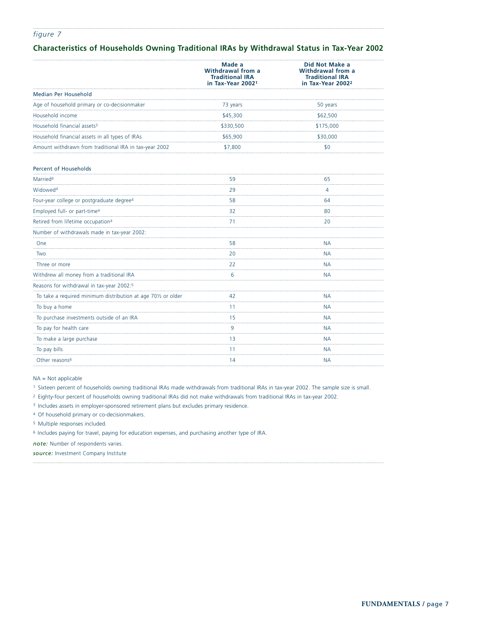## **Characteristics of Households Owning Traditional IRAs by Withdrawal Status in Tax-Year 2002**

|                                                               | Made a<br>Withdrawal from a<br><b>Traditional IRA</b><br>in Tax-Year 20021 | Did Not Make a<br>Withdrawal from a<br><b>Traditional IRA</b><br>in Tax-Year 2002 <sup>2</sup> |
|---------------------------------------------------------------|----------------------------------------------------------------------------|------------------------------------------------------------------------------------------------|
| Median Per Household                                          |                                                                            |                                                                                                |
| Age of household primary or co-decisionmaker                  | 73 years                                                                   | 50 years                                                                                       |
| Household income                                              | \$45,300                                                                   | \$62,500                                                                                       |
| Household financial assets <sup>3</sup>                       | \$330,500                                                                  | \$175,000                                                                                      |
| Household financial assets in all types of IRAs               | \$65,900                                                                   | \$30,000                                                                                       |
| Amount withdrawn from traditional IRA in tax-year 2002        | \$7,800                                                                    | \$0                                                                                            |
| <b>Percent of Households</b>                                  |                                                                            |                                                                                                |
| Married <sup>4</sup>                                          | 59                                                                         | 65                                                                                             |
| Widowed <sup>4</sup>                                          | 29                                                                         | 4                                                                                              |
| Four-year college or postgraduate degree4                     | 58                                                                         | 64                                                                                             |
| Employed full- or part-time4                                  | 32                                                                         | 80                                                                                             |
| Retired from lifetime occupation <sup>4</sup>                 | 71                                                                         | 20                                                                                             |
| Number of withdrawals made in tax-year 2002:                  |                                                                            |                                                                                                |
| One                                                           | 58                                                                         | <b>NA</b>                                                                                      |
| Two                                                           | 20                                                                         | <b>NA</b>                                                                                      |
| Three or more                                                 | 22                                                                         | <b>NA</b>                                                                                      |
| Withdrew all money from a traditional IRA                     | 6                                                                          | <b>NA</b>                                                                                      |
| Reasons for withdrawal in tax-year 2002:5                     |                                                                            |                                                                                                |
| To take a required minimum distribution at age 701/2 or older | 42                                                                         | <b>NA</b>                                                                                      |
| To buy a home                                                 | 11                                                                         | <b>NA</b>                                                                                      |
| To purchase investments outside of an IRA                     | 15                                                                         | <b>NA</b>                                                                                      |
| To pay for health care                                        | 9<br>i.                                                                    | <b>NA</b>                                                                                      |
| To make a large purchase                                      | 13                                                                         | <b>NA</b>                                                                                      |
| To pay bills                                                  | 11                                                                         | <b>NA</b>                                                                                      |
| Other reasons <sup>6</sup>                                    | 14                                                                         | <b>NA</b>                                                                                      |
|                                                               |                                                                            |                                                                                                |

#### NA = Not applicable

<sup>1</sup> Sixteen percent of households owning traditional IRAs made withdrawals from traditional IRAs in tax-year 2002. The sample size is small.

<sup>2</sup> Eighty-four percent of households owning traditional IRAs did not make withdrawals from traditional IRAs in tax-year 2002.

<sup>3</sup> Includes assets in employer-sponsored retirement plans but excludes primary residence.

<sup>4</sup> Of household primary or co-decisionmakers.

<sup>5</sup> Multiple responses included.

6 Includes paying for travel, paying for education expenses, and purchasing another type of IRA.

*note:* Number of respondents varies.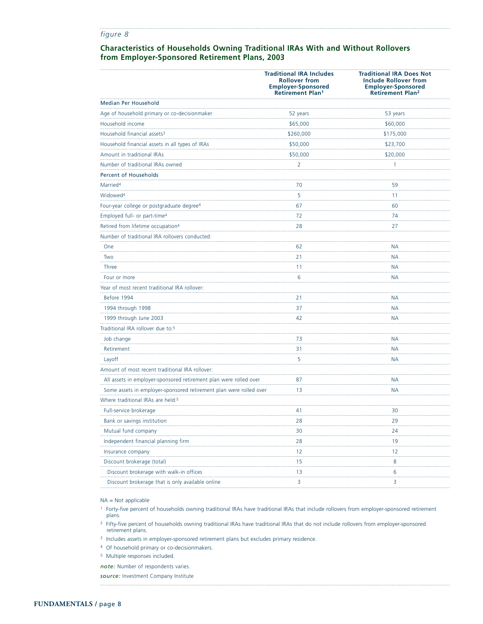#### **Characteristics of Households Owning Traditional IRAs With and Without Rollovers from Employer-Sponsored Retirement Plans, 2003**

|                                                                    | <b>Traditional IRA Includes</b><br><b>Rollover from</b><br><b>Employer-Sponsored</b><br><b>Retirement Plan1</b> | <b>Traditional IRA Does Not</b><br><b>Include Rollover from</b><br><b>Employer-Sponsored</b><br><b>Retirement Plan<sup>2</sup></b> |
|--------------------------------------------------------------------|-----------------------------------------------------------------------------------------------------------------|------------------------------------------------------------------------------------------------------------------------------------|
| Median Per Household                                               |                                                                                                                 |                                                                                                                                    |
| Age of household primary or co-decisionmaker                       | 52 years                                                                                                        | 53 years                                                                                                                           |
| Household income                                                   | \$65,000                                                                                                        | \$60,000                                                                                                                           |
| Household financial assets <sup>3</sup>                            | \$260,000                                                                                                       | \$175,000                                                                                                                          |
| Household financial assets in all types of IRAs                    | \$50,000                                                                                                        | \$23,700                                                                                                                           |
| Amount in traditional IRAs                                         | \$50,000                                                                                                        | \$20,000                                                                                                                           |
| Number of traditional IRAs owned                                   | 2                                                                                                               | 1                                                                                                                                  |
| Percent of Households                                              |                                                                                                                 |                                                                                                                                    |
| Married <sup>4</sup>                                               | 70                                                                                                              | 59                                                                                                                                 |
| Widowed <sup>4</sup>                                               | 5                                                                                                               | 11                                                                                                                                 |
| Four-year college or postgraduate degree <sup>4</sup>              | 67                                                                                                              | 60                                                                                                                                 |
| Employed full- or part-time <sup>4</sup>                           | 72                                                                                                              | 74                                                                                                                                 |
| Retired from lifetime occupation <sup>4</sup>                      | 28                                                                                                              | 27                                                                                                                                 |
| Number of traditional IRA rollovers conducted:                     |                                                                                                                 |                                                                                                                                    |
| One                                                                | 62                                                                                                              | NА                                                                                                                                 |
| Two                                                                | 21                                                                                                              | NА                                                                                                                                 |
| Three                                                              | 11                                                                                                              | ΝA                                                                                                                                 |
| Four or more                                                       | 6                                                                                                               | ΝA                                                                                                                                 |
| Year of most recent traditional IRA rollover:                      |                                                                                                                 |                                                                                                                                    |
| Before 1994                                                        | 21                                                                                                              | NА                                                                                                                                 |
| 1994 through 1998                                                  | 37                                                                                                              | ΝA                                                                                                                                 |
| 1999 through June 2003                                             | 42                                                                                                              | <b>NA</b>                                                                                                                          |
| Traditional IRA rollover due to: <sup>5</sup>                      |                                                                                                                 |                                                                                                                                    |
| Job change                                                         | 73                                                                                                              | ΝA                                                                                                                                 |
| Retirement                                                         | 31                                                                                                              | ΝA                                                                                                                                 |
| Layoff                                                             | 5                                                                                                               | ΝA                                                                                                                                 |
| Amount of most recent traditional IRA rollover:                    |                                                                                                                 |                                                                                                                                    |
| All assets in employer-sponsored retirement plan were rolled over  | 87                                                                                                              | <b>NA</b>                                                                                                                          |
| Some assets in employer-sponsored retirement plan were rolled over | 13                                                                                                              | ΝA                                                                                                                                 |
| Where traditional IRAs are held: <sup>5</sup>                      |                                                                                                                 |                                                                                                                                    |
| Full-service brokerage                                             | 41                                                                                                              | 30                                                                                                                                 |
| Bank or savings institution                                        | 28                                                                                                              | 29                                                                                                                                 |
| Mutual fund company                                                | 30                                                                                                              | 24                                                                                                                                 |
| Independent financial planning firm                                | 28                                                                                                              | 19                                                                                                                                 |
| Insurance company                                                  | 12                                                                                                              | 12                                                                                                                                 |
| Discount brokerage (total)                                         | 15                                                                                                              | 8                                                                                                                                  |
| Discount brokerage with walk-in offices                            | 13                                                                                                              | 6                                                                                                                                  |
| Discount brokerage that is only available online                   | 3                                                                                                               | 3                                                                                                                                  |

NA = Not applicable

<sup>1</sup> Forty-five percent of households owning traditional IRAs have traditional IRAs that include rollovers from employer-sponsored retirement plans.

<sup>2</sup> Fifty-five percent of households owning traditional IRAs have traditional IRAs that do not include rollovers from employer-sponsored retirement plans.

<sup>3</sup> Includes assets in employer-sponsored retirement plans but excludes primary residence.

<sup>4</sup> Of household primary or co-decisionmakers.

<sup>5</sup> Multiple responses included.

*note:* Number of respondents varies.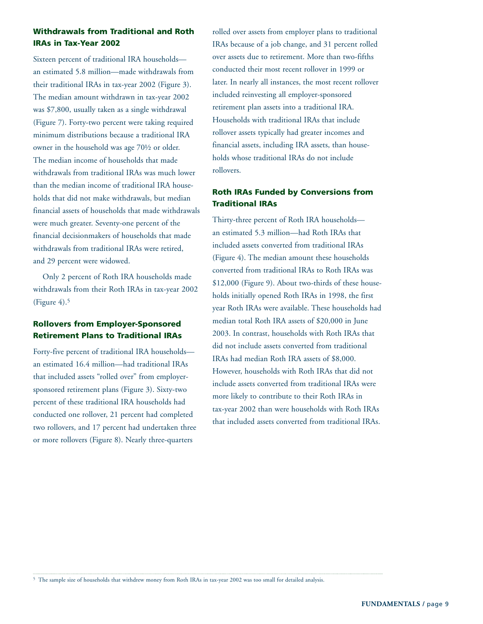# **Withdrawals from Traditional and Roth IRAs in Tax-Year 2002**

Sixteen percent of traditional IRA households an estimated 5.8 million—made withdrawals from their traditional IRAs in tax-year 2002 (Figure 3). The median amount withdrawn in tax-year 2002 was \$7,800, usually taken as a single withdrawal (Figure 7). Forty-two percent were taking required minimum distributions because a traditional IRA owner in the household was age 70½ or older. The median income of households that made withdrawals from traditional IRAs was much lower than the median income of traditional IRA households that did not make withdrawals, but median financial assets of households that made withdrawals were much greater. Seventy-one percent of the financial decisionmakers of households that made withdrawals from traditional IRAs were retired, and 29 percent were widowed.

Only 2 percent of Roth IRA households made withdrawals from their Roth IRAs in tax-year 2002 (Figure  $4$ ).<sup>5</sup>

# **Rollovers from Employer-Sponsored Retirement Plans to Traditional IRAs**

Forty-five percent of traditional IRA households an estimated 16.4 million—had traditional IRAs that included assets "rolled over" from employersponsored retirement plans (Figure 3). Sixty-two percent of these traditional IRA households had conducted one rollover, 21 percent had completed two rollovers, and 17 percent had undertaken three or more rollovers (Figure 8). Nearly three-quarters

rolled over assets from employer plans to traditional IRAs because of a job change, and 31 percent rolled over assets due to retirement. More than two-fifths conducted their most recent rollover in 1999 or later. In nearly all instances, the most recent rollover included reinvesting all employer-sponsored retirement plan assets into a traditional IRA. Households with traditional IRAs that include rollover assets typically had greater incomes and financial assets, including IRA assets, than households whose traditional IRAs do not include rollovers.

# **Roth IRAs Funded by Conversions from Traditional IRAs**

Thirty-three percent of Roth IRA households an estimated 5.3 million—had Roth IRAs that included assets converted from traditional IRAs (Figure 4). The median amount these households converted from traditional IRAs to Roth IRAs was \$12,000 (Figure 9). About two-thirds of these households initially opened Roth IRAs in 1998, the first year Roth IRAs were available. These households had median total Roth IRA assets of \$20,000 in June 2003. In contrast, households with Roth IRAs that did not include assets converted from traditional IRAs had median Roth IRA assets of \$8,000. However, households with Roth IRAs that did not include assets converted from traditional IRAs were more likely to contribute to their Roth IRAs in tax-year 2002 than were households with Roth IRAs that included assets converted from traditional IRAs.

<sup>5</sup> The sample size of households that withdrew money from Roth IRAs in tax-year 2002 was too small for detailed analysis.